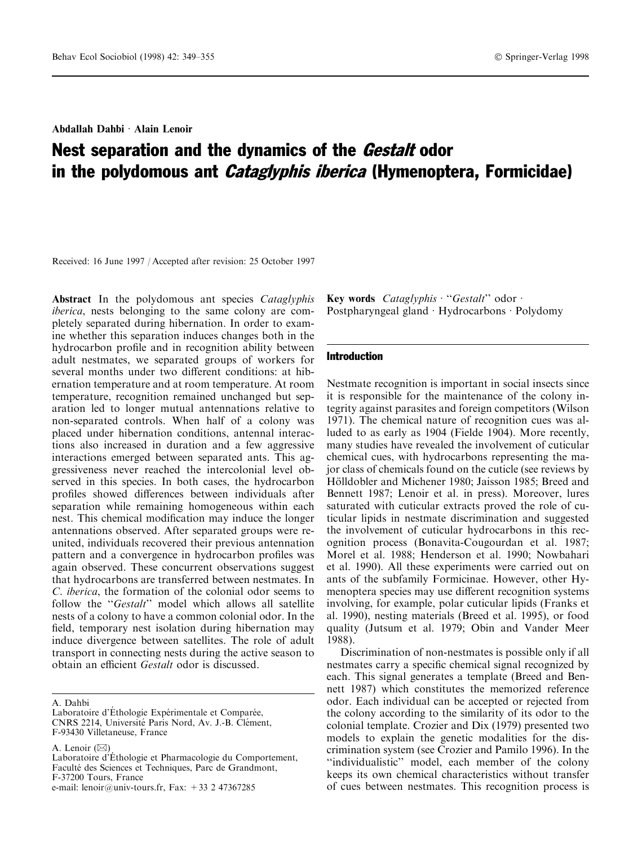Abdallah Dahbi Alain Lenoir

# Nest separation and the dynamics of the *Gestalt* odor in the polydomous ant *Cataglyphis iberica* (Hymenoptera, Formicidae)

Received: 16 June 1997 / Accepted after revision: 25 October 1997

Abstract In the polydomous ant species Cataglyphis iberica, nests belonging to the same colony are completely separated during hibernation. In order to examine whether this separation induces changes both in the hydrocarbon profile and in recognition ability between adult nestmates, we separated groups of workers for several months under two different conditions: at hibernation temperature and at room temperature. At room temperature, recognition remained unchanged but separation led to longer mutual antennations relative to non-separated controls. When half of a colony was placed under hibernation conditions, antennal interactions also increased in duration and a few aggressive interactions emerged between separated ants. This aggressiveness never reached the intercolonial level observed in this species. In both cases, the hydrocarbon profiles showed differences between individuals after separation while remaining homogeneous within each nest. This chemical modification may induce the longer antennations observed. After separated groups were reunited, individuals recovered their previous antennation pattern and a convergence in hydrocarbon profiles was again observed. These concurrent observations suggest that hydrocarbons are transferred between nestmates. In C. iberica, the formation of the colonial odor seems to follow the "Gestalt" model which allows all satellite nests of a colony to have a common colonial odor. In the field, temporary nest isolation during hibernation may induce divergence between satellites. The role of adult transport in connecting nests during the active season to obtain an efficient *Gestalt* odor is discussed.

A. Lenoir  $(\boxtimes)$ 

e-mail: lenoir@univ-tours.fr, Fax: +33 2 47367285

Key words  $Cataloglyphis$  · "Gestalt" odor  $\cdot$ Postpharyngeal gland · Hydrocarbons · Polydomy

## Introduction

Nestmate recognition is important in social insects since it is responsible for the maintenance of the colony integrity against parasites and foreign competitors (Wilson 1971). The chemical nature of recognition cues was alluded to as early as 1904 (Fielde 1904). More recently, many studies have revealed the involvement of cuticular chemical cues, with hydrocarbons representing the major class of chemicals found on the cuticle (see reviews by Hölldobler and Michener 1980; Jaisson 1985; Breed and Bennett 1987; Lenoir et al. in press). Moreover, lures saturated with cuticular extracts proved the role of cuticular lipids in nestmate discrimination and suggested the involvement of cuticular hydrocarbons in this recognition process (Bonavita-Cougourdan et al. 1987; Morel et al. 1988; Henderson et al. 1990; Nowbahari et al. 1990). All these experiments were carried out on ants of the subfamily Formicinae. However, other Hymenoptera species may use different recognition systems involving, for example, polar cuticular lipids (Franks et al. 1990), nesting materials (Breed et al. 1995), or food quality (Jutsum et al. 1979; Obin and Vander Meer 1988).

Discrimination of non-nestmates is possible only if all nestmates carry a specific chemical signal recognized by each. This signal generates a template (Breed and Bennett 1987) which constitutes the memorized reference odor. Each individual can be accepted or rejected from the colony according to the similarity of its odor to the colonial template. Crozier and Dix (1979) presented two models to explain the genetic modalities for the discrimination system (see Crozier and Pamilo 1996). In the "individualistic" model, each member of the colony keeps its own chemical characteristics without transfer of cues between nestmates. This recognition process is

A. Dahbi

Laboratoire d'Éthologie Expérimentale et Comparée, CNRS 2214, Université Paris Nord, Av. J.-B. Clément, F-93430 Villetaneuse, France

Laboratoire d'Éthologie et Pharmacologie du Comportement, Faculté des Sciences et Techniques, Parc de Grandmont, F-37200 Tours, France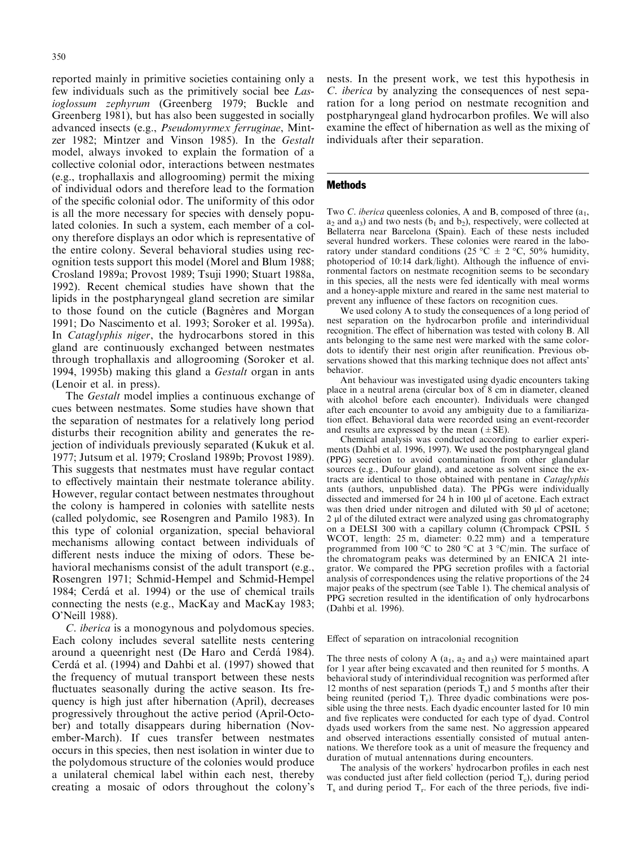reported mainly in primitive societies containing only a few individuals such as the primitively social bee Lasioglossum zephyrum (Greenberg 1979; Buckle and Greenberg 1981), but has also been suggested in socially advanced insects (e.g., Pseudomyrmex ferruginae, Mintzer 1982; Mintzer and Vinson 1985). In the Gestalt model, always invoked to explain the formation of a collective colonial odor, interactions between nestmates (e.g., trophallaxis and allogrooming) permit the mixing of individual odors and therefore lead to the formation of the specific colonial odor. The uniformity of this odor is all the more necessary for species with densely populated colonies. In such a system, each member of a colony therefore displays an odor which is representative of the entire colony. Several behavioral studies using recognition tests support this model (Morel and Blum 1988; Crosland 1989a; Provost 1989; Tsuji 1990; Stuart 1988a, 1992). Recent chemical studies have shown that the lipids in the postpharyngeal gland secretion are similar to those found on the cuticle (Bagneres and Morgan 1991; Do Nascimento et al. 1993; Soroker et al. 1995a). In Cataglyphis niger, the hydrocarbons stored in this gland are continuously exchanged between nestmates through trophallaxis and allogrooming (Soroker et al. 1994, 1995b) making this gland a Gestalt organ in ants (Lenoir et al. in press).

The Gestalt model implies a continuous exchange of cues between nestmates. Some studies have shown that the separation of nestmates for a relatively long period disturbs their recognition ability and generates the rejection of individuals previously separated (Kukuk et al. 1977; Jutsum et al. 1979; Crosland 1989b; Provost 1989). This suggests that nestmates must have regular contact to effectively maintain their nestmate tolerance ability. However, regular contact between nestmates throughout the colony is hampered in colonies with satellite nests (called polydomic, see Rosengren and Pamilo 1983). In this type of colonial organization, special behavioral mechanisms allowing contact between individuals of different nests induce the mixing of odors. These behavioral mechanisms consist of the adult transport (e.g., Rosengren 1971; Schmid-Hempel and Schmid-Hempel 1984; Cerdá et al. 1994) or the use of chemical trails connecting the nests (e.g., MacKay and MacKay 1983; O'Neill 1988).

C. iberica is a monogynous and polydomous species. Each colony includes several satellite nests centering around a queenright nest (De Haro and Cerdá 1984). Cerdá et al. (1994) and Dahbi et al. (1997) showed that the frequency of mutual transport between these nests fluctuates seasonally during the active season. Its frequency is high just after hibernation (April), decreases progressively throughout the active period (April-October) and totally disappears during hibernation (November-March). If cues transfer between nestmates occurs in this species, then nest isolation in winter due to the polydomous structure of the colonies would produce a unilateral chemical label within each nest, thereby creating a mosaic of odors throughout the colony's nests. In the present work, we test this hypothesis in C. iberica by analyzing the consequences of nest separation for a long period on nestmate recognition and postpharyngeal gland hydrocarbon profiles. We will also examine the effect of hibernation as well as the mixing of individuals after their separation.

### Methods

Two C. iberica queenless colonies, A and B, composed of three  $(a_1, a_2)$  $a_2$  and  $a_3$ ) and two nests ( $b_1$  and  $b_2$ ), respectively, were collected at Bellaterra near Barcelona (Spain). Each of these nests included several hundred workers. These colonies were reared in the laboratory under standard conditions (25 °C  $\pm$  2 °C, 50% humidity, photoperiod of 10:14 dark/light). Although the influence of environmental factors on nestmate recognition seems to be secondary in this species, all the nests were fed identically with meal worms and a honey-apple mixture and reared in the same nest material to prevent any influence of these factors on recognition cues.

We used colony A to study the consequences of a long period of nest separation on the hydrocarbon profile and interindividual recognition. The effect of hibernation was tested with colony B. All ants belonging to the same nest were marked with the same colordots to identify their nest origin after reunification. Previous observations showed that this marking technique does not affect ants' behavior.

Ant behaviour was investigated using dyadic encounters taking place in a neutral arena (circular box of 8 cm in diameter, cleaned with alcohol before each encounter). Individuals were changed after each encounter to avoid any ambiguity due to a familiarization effect. Behavioral data were recorded using an event-recorder and results are expressed by the mean  $(\pm SE)$ .

Chemical analysis was conducted according to earlier experiments (Dahbi et al. 1996, 1997). We used the postpharyngeal gland (PPG) secretion to avoid contamination from other glandular sources (e.g., Dufour gland), and acetone as solvent since the extracts are identical to those obtained with pentane in Cataglyphis ants (authors, unpublished data). The PPGs were individually dissected and immersed for 24 h in 100 µl of acetone. Each extract was then dried under nitrogen and diluted with 50  $\mu$ l of acetone; 2 µl of the diluted extract were analyzed using gas chromatography on a DELSI 300 with a capillary column (Chrompack CPSIL 5 WCOT, length: 25 m, diameter: 0.22 mm) and a temperature programmed from 100 °C to 280 °C at 3 °C/min. The surface of the chromatogram peaks was determined by an ENICA 21 integrator. We compared the PPG secretion profiles with a factorial analysis of correspondences using the relative proportions of the 24 major peaks of the spectrum (see Table 1). The chemical analysis of PPG secretion resulted in the identification of only hydrocarbons (Dahbi et al. 1996).

Effect of separation on intracolonial recognition

The three nests of colony A  $(a_1, a_2, a_3)$  were maintained apart for 1 year after being excavated and then reunited for 5 months. A behavioral study of interindividual recognition was performed after 12 months of nest separation (periods  $T_s$ ) and 5 months after their being reunited (period  $T_r$ ). Three dyadic combinations were possible using the three nests. Each dyadic encounter lasted for 10 min and five replicates were conducted for each type of dyad. Control dyads used workers from the same nest. No aggression appeared and observed interactions essentially consisted of mutual antennations. We therefore took as a unit of measure the frequency and duration of mutual antennations during encounters.

The analysis of the workers' hydrocarbon profiles in each nest was conducted just after field collection (period  $T_c$ ), during period  $T_s$  and during period  $T_r$ . For each of the three periods, five indi-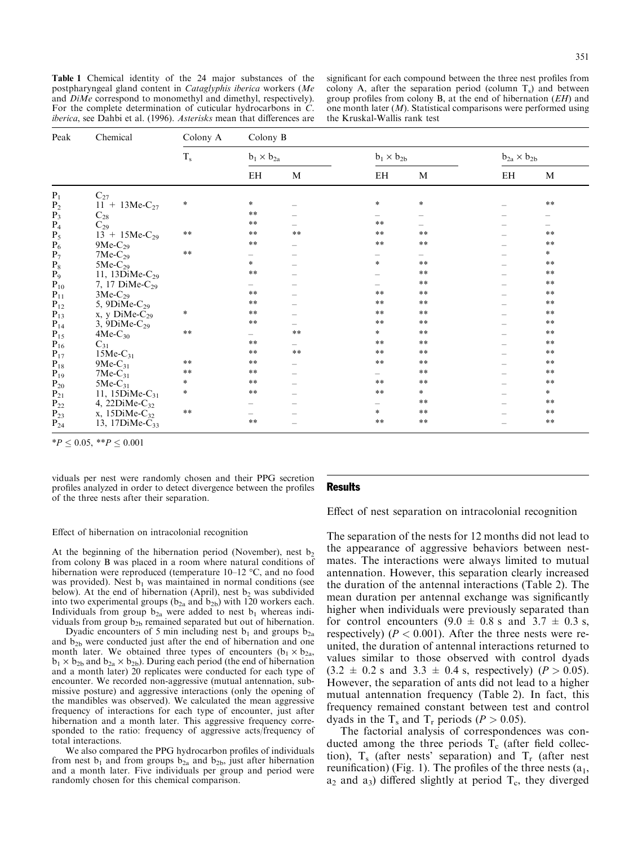Table 1 Chemical identity of the 24 major substances of the postpharyngeal gland content in Cataglyphis iberica workers (Me and  $DiMe$  correspond to monomethyl and dimethyl, respectively). For the complete determination of cuticular hydrocarbons in C. iberica, see Dahbi et al. (1996). Asterisks mean that differences are

significant for each compound between the three nest profiles from colony A, after the separation period (column  $T<sub>s</sub>$ ) and between group profiles from colony B, at the end of hibernation  $(EH)$  and one month later  $(M)$ . Statistical comparisons were performed using the Kruskal-Wallis rank test

| Peak                                         | Chemical                     | Colony A      | Colony B                 |                          |                     |                          |                        |            |  |
|----------------------------------------------|------------------------------|---------------|--------------------------|--------------------------|---------------------|--------------------------|------------------------|------------|--|
|                                              |                              | $T_{\rm s}$   | $b_1 \times b_{2a}$      |                          | $b_1 \times b_{2b}$ |                          | $b_{2a} \times b_{2b}$ |            |  |
|                                              |                              |               | EH                       | M                        | EH                  | M                        | EH                     | M          |  |
| $P_1$                                        | $C_{27}$                     |               |                          |                          |                     |                          |                        |            |  |
| P <sub>2</sub>                               | $11 + 13$ Me-C <sub>27</sub> | $\ast$        | $\ast$                   |                          | $\ast$              | $\ast$                   |                        | $**$       |  |
| $P_3$                                        | $C_{28}$                     |               | $**$                     |                          |                     |                          |                        |            |  |
| $P_4$                                        | $C_{29}$                     |               | $***$                    |                          | $**$                |                          |                        |            |  |
| $P_5$                                        | $13 + 15$ Me-C <sub>29</sub> | $\ast\ast$    | $\ast\ast$               | $\ast\ast$               | $***$               | $**$                     |                        | **         |  |
| $\overline{P_6}$                             | $9Me-C_{29}$                 |               | $\ast\ast$               |                          | $\ast\ast$          | $\ast\ast$               |                        | $\ast\ast$ |  |
| $P_7$                                        | $7Me-C_{29}$                 | $\ast\ast$    |                          |                          |                     | $\overline{\phantom{0}}$ |                        | $\ast$     |  |
| $\mathbf{P}_8$                               | $5Me-C_{29}$                 |               | $\ast$                   |                          | $\ast$              | $**$                     |                        | $***$      |  |
| $P_9$                                        | 11, 13DiMe-C <sub>29</sub>   |               | $\ast\ast$               |                          |                     | $\ast\ast$               |                        | $\ast\ast$ |  |
| $P_{10}$<br>$P_{11}$<br>$P_{12}$<br>$P_{13}$ | 7, 17 DiMe-C <sub>29</sub>   |               |                          |                          |                     | $\ast\ast$               |                        | $**$       |  |
|                                              | $3Me-C_{29}$                 |               | $**$                     |                          | $***$               | $\ast\ast$               |                        | $\ast\ast$ |  |
|                                              | 5, 9DiMe- $C_{29}$           |               | $\ast\ast$               |                          | $\ast\ast$          | $\ast\ast$               |                        | $\ast\ast$ |  |
|                                              | $x, y$ DiMe- $C_{29}$        | $\ast$        | $***$                    |                          | $***$               | $***$                    |                        | $***$      |  |
|                                              | 3, 9DiMe- $C_{29}$           |               | $\ast\ast$               |                          | $***$               | $\ast\ast$               |                        | $**$       |  |
| $P_{14}$<br>$P_{15}$                         | $4Me-C_{30}$                 | $***$         | $\overline{\phantom{0}}$ | $**$                     | $\ast$              | $***$                    |                        | $**$       |  |
| $P_{16}$                                     | $C_{31}$                     |               | $***$                    | $\overline{\phantom{0}}$ | $***$               | $\ast\ast$               |                        | $\ast\ast$ |  |
| $P_{17}$                                     | $15Me-C_{31}$                |               | $\ast\ast$               | $**$                     | $**$                | $\ast\ast$               |                        | $\ast\ast$ |  |
| $\mathbf{P}_{18}$                            | 9Me- $C_{31}$                | $\ast\ast$    | $\ast\ast$               |                          | **                  | $\ast\ast$               |                        | $\ast\ast$ |  |
| $P_{19}$                                     | $7Me-C_{31}$                 | $\ast$ $\ast$ | $\ast\ast$               |                          |                     | $\ast\ast$               |                        | $\ast\ast$ |  |
| $P_{20}$                                     | $5Me-C_{31}$                 | $\ast$        | $\ast\ast$               |                          | $***$               | $\ast\ast$               |                        | $\ast\ast$ |  |
| $P_{21}$                                     | 11, $15DiMe-C_{31}$          | $\ast$        | $\ast\ast$               |                          | $\ast\ast$          | $\ast$                   |                        | $\ast$     |  |
| $\mathbf{P}_{22}$                            | 4, 22 $DiMe-C_{32}$          |               |                          |                          |                     | $\ast\ast$               |                        | $\ast\ast$ |  |
| $P_{23}^-$                                   | x, $15DiMe-C_{32}$           | $\ast\ast$    |                          |                          | $\ast$              | $\ast\ast$               |                        | $\ast\ast$ |  |
| $P_{24}$                                     | 13, 17 $DiMe-C_{33}$         |               | $**$                     |                          | $**$                | $\ast\ast$               |                        | $***$      |  |

 $*P < 0.05, **P < 0.001$ 

viduals per nest were randomly chosen and their PPG secretion profiles analyzed in order to detect divergence between the profiles of the three nests after their separation.

#### **Results**

Effect of nest separation on intracolonial recognition

#### Effect of hibernation on intracolonial recognition

At the beginning of the hibernation period (November), nest  $b_2$ from colony B was placed in a room where natural conditions of hibernation were reproduced (temperature  $10-12$  °C, and no food was provided). Nest  $b_1$  was maintained in normal conditions (see below). At the end of hibernation (April), nest  $b_2$  was subdivided into two experimental groups ( $b_{2a}$  and  $b_{2b}$ ) with 120 workers each. Individuals from group  $b_{2a}$  were added to nest  $b_1$  whereas individuals from group  $b_{2b}$  remained separated but out of hibernation.

Dyadic encounters of 5 min including nest  $b_1$  and groups  $b_{2a}$ and b<sub>2b</sub> were conducted just after the end of hibernation and one month later. We obtained three types of encounters  $(b_1 \times b_{2a})$ ,  $b_1 \times b_2$ <sub>b</sub> and  $b_2$ <sub>a</sub>  $\times b_2$ <sub>b</sub>). During each period (the end of hibernation and a month later) 20 replicates were conducted for each type of encounter. We recorded non-aggressive (mutual antennation, submissive posture) and aggressive interactions (only the opening of the mandibles was observed). We calculated the mean aggressive frequency of interactions for each type of encounter, just after hibernation and a month later. This aggressive frequency corresponded to the ratio: frequency of aggressive acts/frequency of total interactions.

We also compared the PPG hydrocarbon profiles of individuals from nest  $b_1$  and from groups  $b_{2a}$  and  $b_{2b}$ , just after hibernation and a month later. Five individuals per group and period were randomly chosen for this chemical comparison.

The separation of the nests for 12 months did not lead to the appearance of aggressive behaviors between nestmates. The interactions were always limited to mutual antennation. However, this separation clearly increased the duration of the antennal interactions (Table 2). The mean duration per antennal exchange was significantly higher when individuals were previously separated than for control encounters  $(9.0 \pm 0.8 \text{ s and } 3.7 \pm 0.3 \text{ s},$ respectively) ( $P < 0.001$ ). After the three nests were reunited, the duration of antennal interactions returned to values similar to those observed with control dyads  $(3.2 \pm 0.2 \text{ s and } 3.3 \pm 0.4 \text{ s, respectively})$  ( $P > 0.05$ ). However, the separation of ants did not lead to a higher mutual antennation frequency (Table 2). In fact, this frequency remained constant between test and control dyads in the T<sub>s</sub> and T<sub>r</sub> periods ( $P > 0.05$ ).

The factorial analysis of correspondences was conducted among the three periods  $T_c$  (after field collection),  $T_s$  (after nests' separation) and  $T_r$  (after nest reunification) (Fig. 1). The profiles of the three nests  $(a_1, a_2)$  $a_2$  and  $a_3$ ) differed slightly at period  $T_c$ , they diverged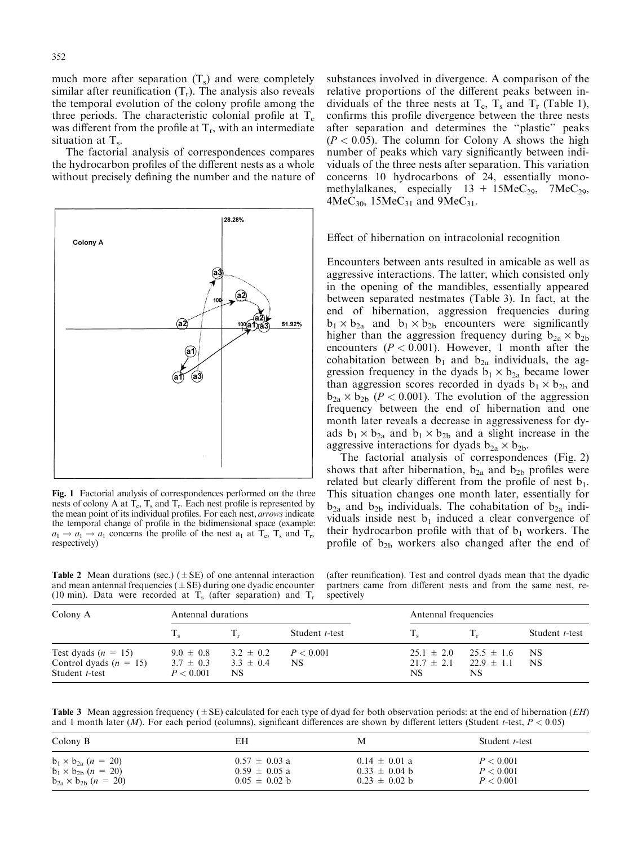much more after separation  $(T<sub>s</sub>)$  and were completely similar after reunification  $(T_r)$ . The analysis also reveals the temporal evolution of the colony profile among the three periods. The characteristic colonial profile at  $T_c$ was different from the profile at  $T_r$ , with an intermediate situation at  $T_s$ .

The factorial analysis of correspondences compares the hydrocarbon profiles of the different nests as a whole without precisely defining the number and the nature of



Fig. 1 Factorial analysis of correspondences performed on the three nests of colony A at  $T_c$ ,  $T_s$  and  $T_r$ . Each nest profile is represented by the mean point of its individual profiles. For each nest, arrows indicate the temporal change of profile in the bidimensional space (example:  $a_1 \rightarrow a_1 \rightarrow a_1$  concerns the profile of the nest  $a_1$  at  $T_c$ ,  $T_s$  and  $T_r$ , respectively)

substances involved in divergence. A comparison of the relative proportions of the different peaks between individuals of the three nests at  $T_c$ ,  $T_s$  and  $T_r$  (Table 1), confirms this profile divergence between the three nests after separation and determines the "plastic" peaks  $(P < 0.05)$ . The column for Colony A shows the high number of peaks which vary significantly between individuals of the three nests after separation. This variation concerns 10 hydrocarbons of 24, essentially monomethylalkanes, especially  $13 + 15$ MeC<sub>29</sub>,  $7$ MeC<sub>29</sub>,  $4MeC_{30}$ , 15MeC<sub>31</sub> and 9MeC<sub>31</sub>.

## Effect of hibernation on intracolonial recognition

Encounters between ants resulted in amicable as well as aggressive interactions. The latter, which consisted only in the opening of the mandibles, essentially appeared between separated nestmates (Table 3). In fact, at the end of hibernation, aggression frequencies during  $b_1 \times b_{2a}$  and  $b_1 \times b_{2b}$  encounters were significantly higher than the aggression frequency during  $b_{2a} \times b_{2b}$ encounters ( $P < 0.001$ ). However, 1 month after the cohabitation between  $b_1$  and  $b_{2a}$  individuals, the aggression frequency in the dyads  $b_1 \times b_{2a}$  became lower than aggression scores recorded in dyads  $b_1 \times b_{2b}$  and  $b_{2a} \times b_{2b}$  ( $P < 0.001$ ). The evolution of the aggression frequency between the end of hibernation and one month later reveals a decrease in aggressiveness for dyads  $b_1 \times b_{2a}$  and  $b_1 \times b_{2b}$  and a slight increase in the aggressive interactions for dyads  $b_{2a} \times b_{2b}$ .

The factorial analysis of correspondences (Fig. 2) shows that after hibernation,  $b_{2a}$  and  $b_{2b}$  profiles were related but clearly different from the profile of nest  $b_1$ . This situation changes one month later, essentially for  $b_{2a}$  and  $b_{2b}$  individuals. The cohabitation of  $b_{2a}$  individuals inside nest  $b_1$  induced a clear convergence of their hydrocarbon profile with that of  $b_1$  workers. The profile of  $b_{2b}$  workers also changed after the end of

**Table 2** Mean durations (sec.) ( $\pm$  SE) of one antennal interaction and mean antennal frequencies ( $\pm$  SE) during one dyadic encounter (10 min). Data were recorded at  $T_s$  (after separation) and  $T_r$ 

(after reunification). Test and control dyads mean that the dyadic partners came from different nests and from the same nest, respectively

| Colony A                                                            | Antennal durations                          |                                       |                  |                                        | Antennal frequencies                    |                        |  |
|---------------------------------------------------------------------|---------------------------------------------|---------------------------------------|------------------|----------------------------------------|-----------------------------------------|------------------------|--|
|                                                                     |                                             |                                       | Student t-test   |                                        |                                         | Student <i>t</i> -test |  |
| Test dyads $(n = 15)$<br>Control dyads $(n = 15)$<br>Student t-test | $9.0 \pm 0.8$<br>$3.7 \pm 0.3$<br>P < 0.001 | $3.2 \pm 0.2$<br>$3.3 \pm 0.4$<br>NS. | P < 0.001<br>NS. | $25.1 \pm 2.0$<br>$21.7 \pm 2.1$<br>NS | $25.5 \pm 1.6$<br>$22.9 \pm 1.1$<br>NS. | NS.<br><b>NS</b>       |  |

**Table 3** Mean aggression frequency ( $\pm$  SE) calculated for each type of dyad for both observation periods: at the end of hibernation (*EH*) and 1 month later (*M*). For each period (columns), significant differences are shown by different letters (Student *t*-test,  $P < 0.05$ )

| Colony B                          | EΗ                | М                 | Student t-test |
|-----------------------------------|-------------------|-------------------|----------------|
| $b_1 \times b_{2a}$ $(n = 20)$    | $0.57 \pm 0.03$ a | $0.14 \pm 0.01$ a | P < 0.001      |
| $b_1 \times b_{2b}$ $(n = 20)$    | $0.59 \pm 0.05$ a | $0.33 \pm 0.04$ b | P < 0.001      |
| $b_{2a} \times b_{2b}$ $(n = 20)$ | $0.05 \pm 0.02$ b | $0.23 \pm 0.02$ b | P < 0.001      |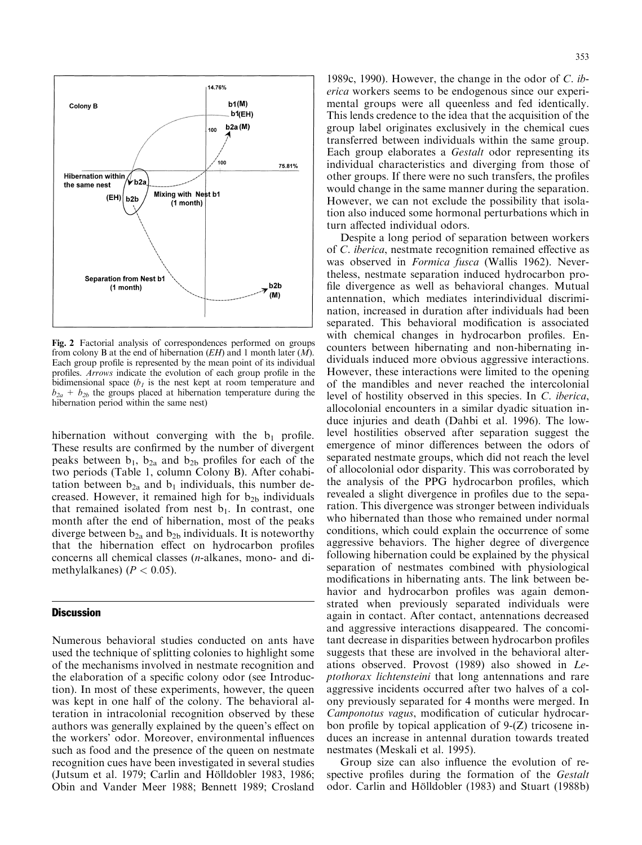

Fig. 2 Factorial analysis of correspondences performed on groups from colony B at the end of hibernation  $(EH)$  and 1 month later  $(M)$ . Each group profile is represented by the mean point of its individual profiles. Arrows indicate the evolution of each group profile in the bidimensional space  $(b<sub>1</sub>)$  is the nest kept at room temperature and  $b_{2a} + b_{2b}$  the groups placed at hibernation temperature during the hibernation period within the same nest)

hibernation without converging with the  $b_1$  profile. These results are confirmed by the number of divergent peaks between  $b_1$ ,  $b_{2a}$  and  $b_{2b}$  profiles for each of the two periods (Table 1, column Colony B). After cohabitation between  $b_{2a}$  and  $b_1$  individuals, this number decreased. However, it remained high for  $b_{2b}$  individuals that remained isolated from nest  $b_1$ . In contrast, one month after the end of hibernation, most of the peaks diverge between  $b_{2a}$  and  $b_{2b}$  individuals. It is noteworthy that the hibernation effect on hydrocarbon profiles concerns all chemical classes (n-alkanes, mono- and dimethylalkanes) ( $P < 0.05$ ).

## **Discussion**

Numerous behavioral studies conducted on ants have used the technique of splitting colonies to highlight some of the mechanisms involved in nestmate recognition and the elaboration of a specific colony odor (see Introduction). In most of these experiments, however, the queen was kept in one half of the colony. The behavioral alteration in intracolonial recognition observed by these authors was generally explained by the queen's effect on the workers' odor. Moreover, environmental influences such as food and the presence of the queen on nestmate recognition cues have been investigated in several studies (Jutsum et al. 1979; Carlin and Hölldobler 1983, 1986; Obin and Vander Meer 1988; Bennett 1989; Crosland

1989c, 1990). However, the change in the odor of C. iberica workers seems to be endogenous since our experimental groups were all queenless and fed identically. This lends credence to the idea that the acquisition of the group label originates exclusively in the chemical cues transferred between individuals within the same group. Each group elaborates a Gestalt odor representing its individual characteristics and diverging from those of other groups. If there were no such transfers, the profiles would change in the same manner during the separation. However, we can not exclude the possibility that isolation also induced some hormonal perturbations which in turn affected individual odors.

Despite a long period of separation between workers of C. *iberica*, nestmate recognition remained effective as was observed in *Formica fusca* (Wallis 1962). Nevertheless, nestmate separation induced hydrocarbon pro file divergence as well as behavioral changes. Mutual antennation, which mediates interindividual discrimination, increased in duration after individuals had been separated. This behavioral modification is associated with chemical changes in hydrocarbon profiles. Encounters between hibernating and non-hibernating individuals induced more obvious aggressive interactions. However, these interactions were limited to the opening of the mandibles and never reached the intercolonial level of hostility observed in this species. In C. iberica, allocolonial encounters in a similar dyadic situation induce injuries and death (Dahbi et al. 1996). The lowlevel hostilities observed after separation suggest the emergence of minor differences between the odors of separated nestmate groups, which did not reach the level of allocolonial odor disparity. This was corroborated by the analysis of the PPG hydrocarbon profiles, which revealed a slight divergence in profiles due to the separation. This divergence was stronger between individuals who hibernated than those who remained under normal conditions, which could explain the occurrence of some aggressive behaviors. The higher degree of divergence following hibernation could be explained by the physical separation of nestmates combined with physiological modifications in hibernating ants. The link between behavior and hydrocarbon profiles was again demonstrated when previously separated individuals were again in contact. After contact, antennations decreased and aggressive interactions disappeared. The concomitant decrease in disparities between hydrocarbon profiles suggests that these are involved in the behavioral alterations observed. Provost (1989) also showed in Leptothorax lichtensteini that long antennations and rare aggressive incidents occurred after two halves of a colony previously separated for 4 months were merged. In Camponotus vagus, modification of cuticular hydrocarbon profile by topical application of  $9-(Z)$  tricosene induces an increase in antennal duration towards treated nestmates (Meskali et al. 1995).

Group size can also influence the evolution of respective profiles during the formation of the *Gestalt* odor. Carlin and Hölldobler (1983) and Stuart (1988b)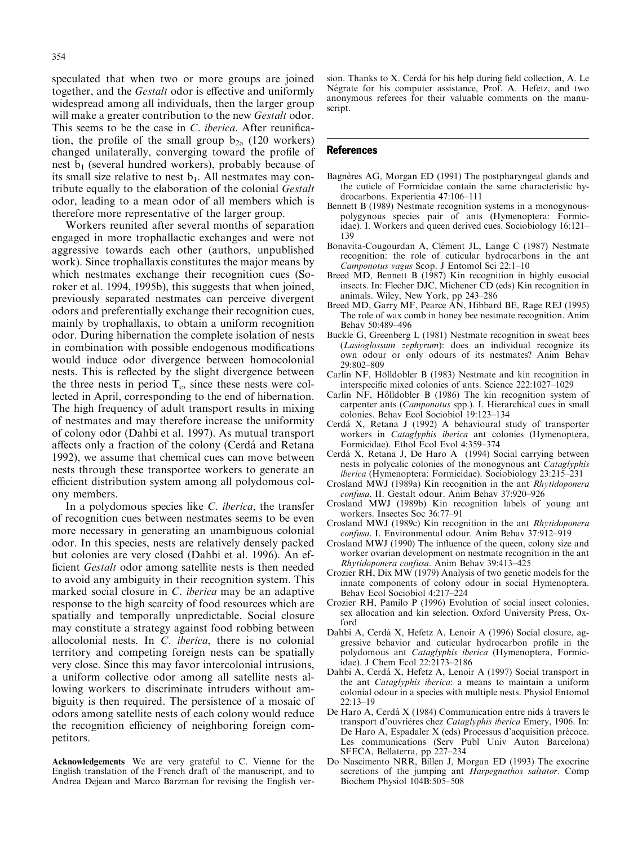speculated that when two or more groups are joined together, and the *Gestalt* odor is effective and uniformly widespread among all individuals, then the larger group will make a greater contribution to the new Gestalt odor. This seems to be the case in  $C$ . *iberica*. After reunification, the profile of the small group  $b_{2a}$  (120 workers) changed unilaterally, converging toward the profile of nest  $b_1$  (several hundred workers), probably because of its small size relative to nest  $b_1$ . All nestmates may contribute equally to the elaboration of the colonial Gestalt odor, leading to a mean odor of all members which is therefore more representative of the larger group.

Workers reunited after several months of separation engaged in more trophallactic exchanges and were not aggressive towards each other (authors, unpublished work). Since trophallaxis constitutes the major means by which nestmates exchange their recognition cues (Soroker et al. 1994, 1995b), this suggests that when joined, previously separated nestmates can perceive divergent odors and preferentially exchange their recognition cues, mainly by trophallaxis, to obtain a uniform recognition odor. During hibernation the complete isolation of nests in combination with possible endogenous modifications would induce odor divergence between homocolonial nests. This is reflected by the slight divergence between the three nests in period  $T_c$ , since these nests were collected in April, corresponding to the end of hibernation. The high frequency of adult transport results in mixing of nestmates and may therefore increase the uniformity of colony odor (Dahbi et al. 1997). As mutual transport affects only a fraction of the colony (Cerda and Retana 1992), we assume that chemical cues can move between nests through these transportee workers to generate an efficient distribution system among all polydomous colony members.

In a polydomous species like C. iberica, the transfer of recognition cues between nestmates seems to be even more necessary in generating an unambiguous colonial odor. In this species, nests are relatively densely packed but colonies are very closed (Dahbi et al. 1996). An ef ficient Gestalt odor among satellite nests is then needed to avoid any ambiguity in their recognition system. This marked social closure in C. iberica may be an adaptive response to the high scarcity of food resources which are spatially and temporally unpredictable. Social closure may constitute a strategy against food robbing between allocolonial nests. In C. iberica, there is no colonial territory and competing foreign nests can be spatially very close. Since this may favor intercolonial intrusions, a uniform collective odor among all satellite nests allowing workers to discriminate intruders without ambiguity is then required. The persistence of a mosaic of odors among satellite nests of each colony would reduce the recognition efficiency of neighboring foreign competitors.

Acknowledgements We are very grateful to C. Vienne for the English translation of the French draft of the manuscript, and to Andrea Dejean and Marco Barzman for revising the English ver-

sion. Thanks to  $X$ . Cerdá for his help during field collection, A. Le Négrate for his computer assistance, Prof. A. Hefetz, and two anonymous referees for their valuable comments on the manuscript.

#### References

- Bagnères AG, Morgan ED (1991) The postpharyngeal glands and the cuticle of Formicidae contain the same characteristic hydrocarbons. Experientia 47:106-111
- Bennett B (1989) Nestmate recognition systems in a monogynouspolygynous species pair of ants (Hymenoptera: Formicidae). I. Workers and queen derived cues. Sociobiology 16:121-139
- Bonavita-Cougourdan A, Clément JL, Lange C (1987) Nestmate recognition: the role of cuticular hydrocarbons in the ant Camponotus vagus Scop. J Entomol Sci 22:1-10
- Breed MD, Bennett B (1987) Kin recognition in highly eusocial insects. In: Flecher DJC, Michener CD (eds) Kin recognition in animals. Wiley, New York, pp 243-286
- Breed MD, Garry MF, Pearce AN, Hibbard BE, Rage REJ (1995) The role of wax comb in honey bee nestmate recognition. Anim Behav 50:489-496
- Buckle G, Greenberg L (1981) Nestmate recognition in sweat bees (Lasioglossum zephyrum): does an individual recognize its own odour or only odours of its nestmates? Anim Behav 29:802-809
- Carlin NF, Hölldobler B (1983) Nestmate and kin recognition in interspecific mixed colonies of ants. Science 222:1027-1029
- Carlin NF, Hölldobler B (1986) The kin recognition system of carpenter ants (Camponotus spp.). I. Hierarchical cues in small colonies. Behav Ecol Sociobiol 19:123-134
- Cerdá X, Retana J (1992) A behavioural study of transporter workers in Cataglyphis iberica ant colonies (Hymenoptera, Formicidae). Ethol Ecol Evol 4:359-374
- Cerdá X, Retana J, De Haro A (1994) Social carrying between nests in polycalic colonies of the monogynous ant Cataglyphis iberica (Hymenoptera: Formicidae). Sociobiology 23:215-231
- Crosland MWJ (1989a) Kin recognition in the ant Rhytidoponera confusa. II. Gestalt odour. Anim Behav 37:920-926
- Crosland MWJ (1989b) Kin recognition labels of young ant workers. Insectes Soc 36:77-91
- Crosland MWJ (1989c) Kin recognition in the ant Rhytidoponera confusa. I. Environmental odour. Anim Behav 37:912-919
- Crosland MWJ (1990) The influence of the queen, colony size and worker ovarian development on nestmate recognition in the ant Rhytidoponera confusa. Anim Behav 39:413-425
- Crozier RH, Dix MW (1979) Analysis of two genetic models for the innate components of colony odour in social Hymenoptera. Behav Ecol Sociobiol 4:217-224
- Crozier RH, Pamilo P (1996) Evolution of social insect colonies, sex allocation and kin selection. Oxford University Press, Oxford
- Dahbi A, Cerdá X, Hefetz A, Lenoir A (1996) Social closure, aggressive behavior and cuticular hydrocarbon profile in the polydomous ant Cataglyphis iberica (Hymenoptera, Formicidae). J Chem Ecol 22:2173-2186
- Dahbi A, Cerdá X, Hefetz A, Lenoir A (1997) Social transport in the ant Cataglyphis iberica: a means to maintain a uniform colonial odour in a species with multiple nests. Physiol Entomol  $22:13-19$
- De Haro A, Cerdá X (1984) Communication entre nids à travers le transport d'ouvrières chez Cataglyphis iberica Emery, 1906. In: De Haro A, Espadaler X (eds) Processus d'acquisition précoce. Les communications (Serv Publ Univ Auton Barcelona) SFECA, Bellaterra, pp 227-234
- Do Nascimento NRR, Billen J, Morgan ED (1993) The exocrine secretions of the jumping ant Harpegnathos saltator. Comp Biochem Physiol 104B:505-508